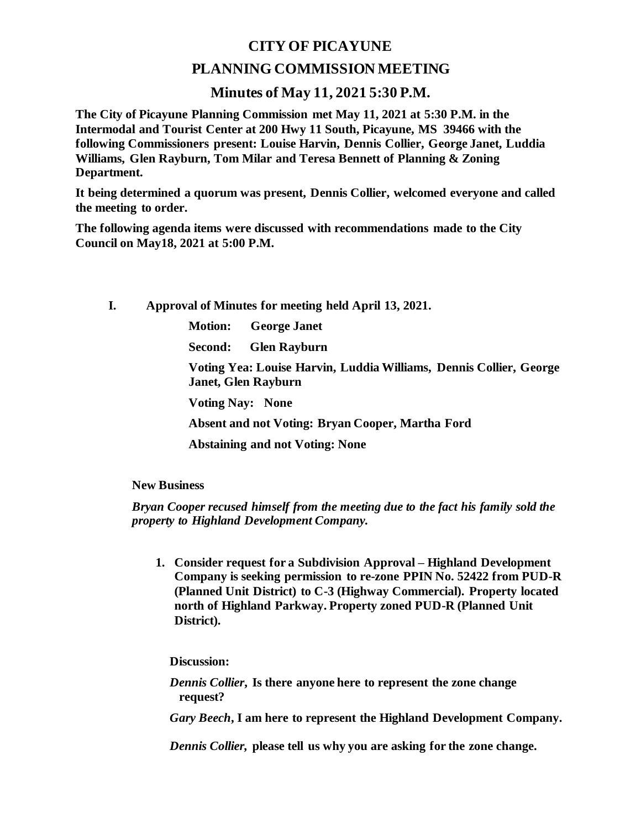## **CITY OF PICAYUNE**

## **PLANNING COMMISSION MEETING**

## **Minutes of May 11, 2021 5:30 P.M.**

**The City of Picayune Planning Commission met May 11, 2021 at 5:30 P.M. in the Intermodal and Tourist Center at 200 Hwy 11 South, Picayune, MS 39466 with the following Commissioners present: Louise Harvin, Dennis Collier, George Janet, Luddia Williams, Glen Rayburn, Tom Milar and Teresa Bennett of Planning & Zoning Department.**

**It being determined a quorum was present, Dennis Collier, welcomed everyone and called the meeting to order.**

**The following agenda items were discussed with recommendations made to the City Council on May18, 2021 at 5:00 P.M.** 

**I. Approval of Minutes for meeting held April 13, 2021.**

**Motion: George Janet**

**Second: Glen Rayburn**

**Voting Yea: Louise Harvin, Luddia Williams, Dennis Collier, George Janet, Glen Rayburn**

**Voting Nay: None**

**Absent and not Voting: Bryan Cooper, Martha Ford**

**Abstaining and not Voting: None**

**New Business**

*Bryan Cooper recused himself from the meeting due to the fact his family sold the property to Highland Development Company.*

**1. Consider request for a Subdivision Approval – Highland Development Company is seeking permission to re-zone PPIN No. 52422 from PUD-R (Planned Unit District) to C-3 (Highway Commercial). Property located north of Highland Parkway. Property zoned PUD-R (Planned Unit District).**

**Discussion:**

*Dennis Collier***, Is there anyone here to represent the zone change request?**

*Gary Beech***, I am here to represent the Highland Development Company.**

*Dennis Collier,* **please tell us why you are asking for the zone change.**